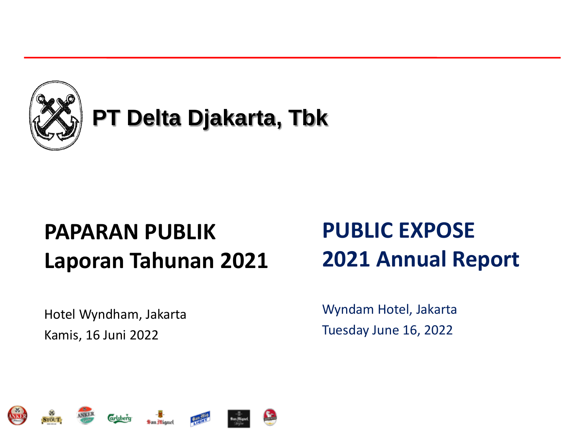

# **PT Delta Djakarta, Tbk**

# **PAPARAN PUBLIK Laporan Tahunan 2021**

Hotel Wyndham, Jakarta Kamis, 16 Juni 2022

# **PUBLIC EXPOSE 2021 Annual Report**

Wyndam Hotel, Jakarta Tuesday June 16, 2022











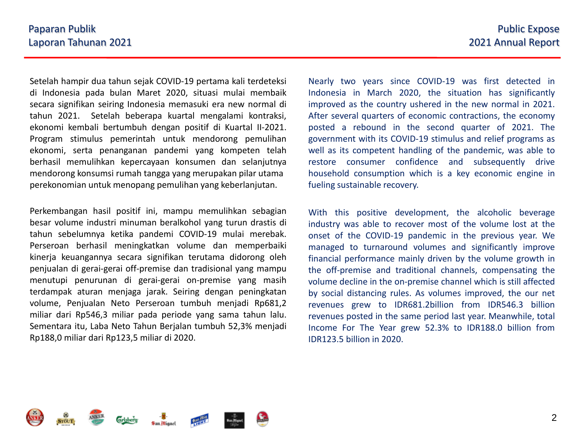Setelah hampir dua tahun sejak COVID-19 pertama kali terdeteksi di Indonesia pada bulan Maret 2020, situasi mulai membaik secara signifikan seiring Indonesia memasuki era new normal di tahun 2021. Setelah beberapa kuartal mengalami kontraksi, ekonomi kembali bertumbuh dengan positif di Kuartal II-2021. Program stimulus pemerintah untuk mendorong pemulihan ekonomi, serta penanganan pandemi yang kompeten telah berhasil memulihkan kepercayaan konsumen dan selanjutnya mendorong konsumsi rumah tangga yang merupakan pilar utama perekonomian untuk menopang pemulihan yang keberlanjutan.

Perkembangan hasil positif ini, mampu memulihkan sebagian besar volume industri minuman beralkohol yang turun drastis di tahun sebelumnya ketika pandemi COVID-19 mulai merebak. Perseroan berhasil meningkatkan volume dan memperbaiki kinerja keuangannya secara signifikan terutama didorong oleh penjualan di gerai-gerai off-premise dan tradisional yang mampu menutupi penurunan di gerai-gerai on-premise yang masih terdampak aturan menjaga jarak. Seiring dengan peningkatan volume, Penjualan Neto Perseroan tumbuh menjadi Rp681,2 miliar dari Rp546,3 miliar pada periode yang sama tahun lalu. Sementara itu, Laba Neto Tahun Berjalan tumbuh 52,3% menjadi Rp188,0 miliar dari Rp123,5 miliar di 2020.

Nearly two years since COVID-19 was first detected in Indonesia in March 2020, the situation has significantly improved as the country ushered in the new normal in 2021. After several quarters of economic contractions, the economy posted a rebound in the second quarter of 2021. The government with its COVID-19 stimulus and relief programs as well as its competent handling of the pandemic, was able to restore consumer confidence and subsequently drive household consumption which is a key economic engine in fueling sustainable recovery.

With this positive development, the alcoholic beverage industry was able to recover most of the volume lost at the onset of the COVID-19 pandemic in the previous year. We managed to turnaround volumes and significantly improve financial performance mainly driven by the volume growth in the off-premise and traditional channels, compensating the volume decline in the on-premise channel which is still affected by social distancing rules. As volumes improved, the our net revenues grew to IDR681.2billion from IDR546.3 billion revenues posted in the same period last year. Meanwhile, total Income For The Year grew 52.3% to IDR188.0 billion from IDR123.5 billion in 2020.

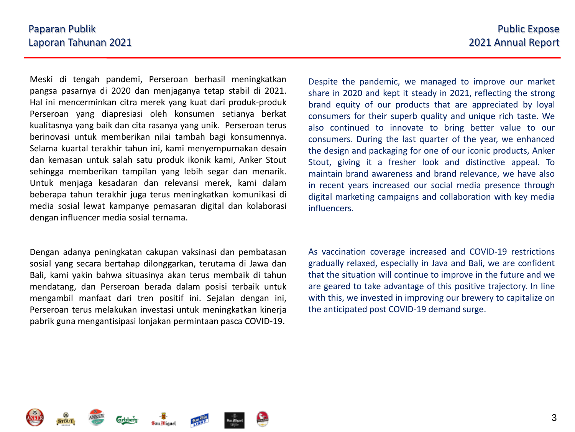Meski di tengah pandemi, Perseroan berhasil meningkatkan pangsa pasarnya di 2020 dan menjaganya tetap stabil di 2021. Hal ini mencerminkan citra merek yang kuat dari produk-produk Perseroan yang diapresiasi oleh konsumen setianya berkat kualitasnya yang baik dan cita rasanya yang unik. Perseroan terus berinovasi untuk memberikan nilai tambah bagi konsumennya. Selama kuartal terakhir tahun ini, kami menyempurnakan desain dan kemasan untuk salah satu produk ikonik kami, Anker Stout sehingga memberikan tampilan yang lebih segar dan menarik. Untuk menjaga kesadaran dan relevansi merek, kami dalam beberapa tahun terakhir juga terus meningkatkan komunikasi di media sosial lewat kampanye pemasaran digital dan kolaborasi dengan influencer media sosial ternama.

Dengan adanya peningkatan cakupan vaksinasi dan pembatasan sosial yang secara bertahap dilonggarkan, terutama di Jawa dan Bali, kami yakin bahwa situasinya akan terus membaik di tahun mendatang, dan Perseroan berada dalam posisi terbaik untuk mengambil manfaat dari tren positif ini. Sejalan dengan ini, Perseroan terus melakukan investasi untuk meningkatkan kinerja pabrik guna mengantisipasi lonjakan permintaan pasca COVID-19.

Despite the pandemic, we managed to improve our market share in 2020 and kept it steady in 2021, reflecting the strong brand equity of our products that are appreciated by loyal consumers for their superb quality and unique rich taste. We also continued to innovate to bring better value to our consumers. During the last quarter of the year, we enhanced the design and packaging for one of our iconic products, Anker Stout, giving it a fresher look and distinctive appeal. To maintain brand awareness and brand relevance, we have also in recent years increased our social media presence through digital marketing campaigns and collaboration with key media influencers.

As vaccination coverage increased and COVID-19 restrictions gradually relaxed, especially in Java and Bali, we are confident that the situation will continue to improve in the future and we are geared to take advantage of this positive trajectory. In line with this, we invested in improving our brewery to capitalize on the anticipated post COVID-19 demand surge.

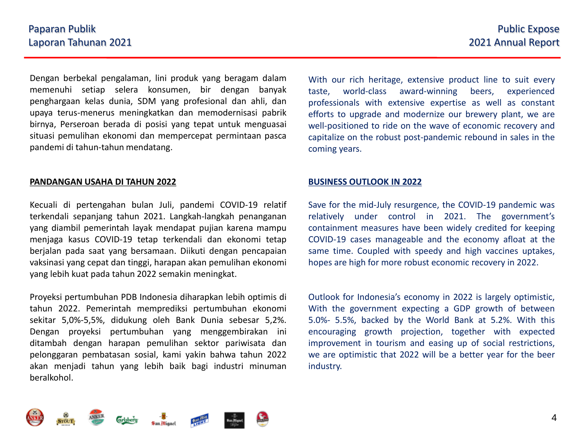Dengan berbekal pengalaman, lini produk yang beragam dalam memenuhi setiap selera konsumen, bir dengan banyak penghargaan kelas dunia, SDM yang profesional dan ahli, dan upaya terus-menerus meningkatkan dan memodernisasi pabrik birnya, Perseroan berada di posisi yang tepat untuk menguasai situasi pemulihan ekonomi dan mempercepat permintaan pasca pandemi di tahun-tahun mendatang.

#### **PANDANGAN USAHA DI TAHUN 2022**

Kecuali di pertengahan bulan Juli, pandemi COVID-19 relatif terkendali sepanjang tahun 2021. Langkah-langkah penanganan yang diambil pemerintah layak mendapat pujian karena mampu menjaga kasus COVID-19 tetap terkendali dan ekonomi tetap berjalan pada saat yang bersamaan. Diikuti dengan pencapaian vaksinasi yang cepat dan tinggi, harapan akan pemulihan ekonomi yang lebih kuat pada tahun 2022 semakin meningkat.

Proyeksi pertumbuhan PDB Indonesia diharapkan lebih optimis di tahun 2022. Pemerintah memprediksi pertumbuhan ekonomi sekitar 5,0%-5,5%, didukung oleh Bank Dunia sebesar 5,2%. Dengan proyeksi pertumbuhan yang menggembirakan ini ditambah dengan harapan pemulihan sektor pariwisata dan pelonggaran pembatasan sosial, kami yakin bahwa tahun 2022 akan menjadi tahun yang lebih baik bagi industri minuman beralkohol.

With our rich heritage, extensive product line to suit every taste, world-class award-winning beers, experienced professionals with extensive expertise as well as constant efforts to upgrade and modernize our brewery plant, we are well-positioned to ride on the wave of economic recovery and capitalize on the robust post-pandemic rebound in sales in the coming years.

#### **BUSINESS OUTLOOK IN 2022**

Save for the mid-July resurgence, the COVID-19 pandemic was relatively under control in 2021. The government's containment measures have been widely credited for keeping COVID-19 cases manageable and the economy afloat at the same time. Coupled with speedy and high vaccines uptakes, hopes are high for more robust economic recovery in 2022.

Outlook for Indonesia's economy in 2022 is largely optimistic, With the government expecting a GDP growth of between 5.0%- 5.5%, backed by the World Bank at 5.2%. With this encouraging growth projection, together with expected improvement in tourism and easing up of social restrictions, we are optimistic that 2022 will be a better year for the beer industry.

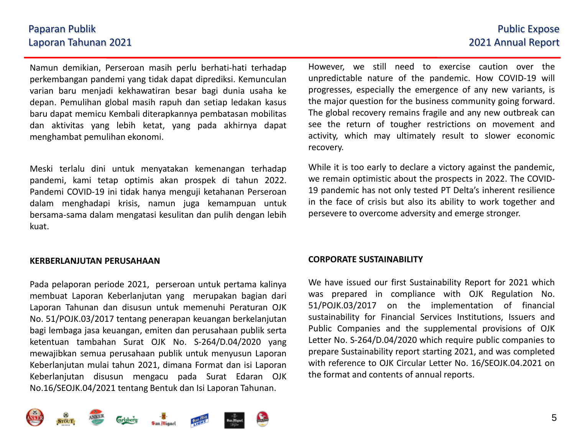### Paparan Publik Laporan Tahunan 2021

Namun demikian, Perseroan masih perlu berhati-hati terhadap perkembangan pandemi yang tidak dapat diprediksi. Kemunculan varian baru menjadi kekhawatiran besar bagi dunia usaha ke depan. Pemulihan global masih rapuh dan setiap ledakan kasus baru dapat memicu Kembali diterapkannya pembatasan mobilitas dan aktivitas yang lebih ketat, yang pada akhirnya dapat menghambat pemulihan ekonomi.

Meski terlalu dini untuk menyatakan kemenangan terhadap pandemi, kami tetap optimis akan prospek di tahun 2022. Pandemi COVID-19 ini tidak hanya menguji ketahanan Perseroan dalam menghadapi krisis, namun juga kemampuan untuk bersama-sama dalam mengatasi kesulitan dan pulih dengan lebih kuat.

#### **KERBERLANJUTAN PERUSAHAAN**

Pada pelaporan periode 2021, perseroan untuk pertama kalinya membuat Laporan Keberlanjutan yang merupakan bagian dari Laporan Tahunan dan disusun untuk memenuhi Peraturan OJK No. 51/POJK.03/2017 tentang penerapan keuangan berkelanjutan bagi lembaga jasa keuangan, emiten dan perusahaan publik serta ketentuan tambahan Surat OJK No. S-264/D.04/2020 yang mewajibkan semua perusahaan publik untuk menyusun Laporan Keberlanjutan mulai tahun 2021, dimana Format dan isi Laporan Keberlanjutan disusun mengacu pada Surat Edaran OJK No.16/SEOJK.04/2021 tentang Bentuk dan Isi Laporan Tahunan.

### However, we still need to exercise caution over the unpredictable nature of the pandemic. How COVID-19 will progresses, especially the emergence of any new variants, is the major question for the business community going forward. The global recovery remains fragile and any new outbreak can see the return of tougher restrictions on movement and activity, which may ultimately result to slower economic recovery.

While it is too early to declare a victory against the pandemic, we remain optimistic about the prospects in 2022. The COVID-19 pandemic has not only tested PT Delta's inherent resilience in the face of crisis but also its ability to work together and persevere to overcome adversity and emerge stronger.

#### **CORPORATE SUSTAINABILITY**

We have issued our first Sustainability Report for 2021 which was prepared in compliance with OJK Regulation No. 51/POJK.03/2017 on the implementation of financial sustainability for Financial Services Institutions, Issuers and Public Companies and the supplemental provisions of OJK Letter No. S-264/D.04/2020 which require public companies to prepare Sustainability report starting 2021, and was completed with reference to OJK Circular Letter No. 16/SEOJK.04.2021 on the format and contents of annual reports.

## Public Expose 2021 Annual Report

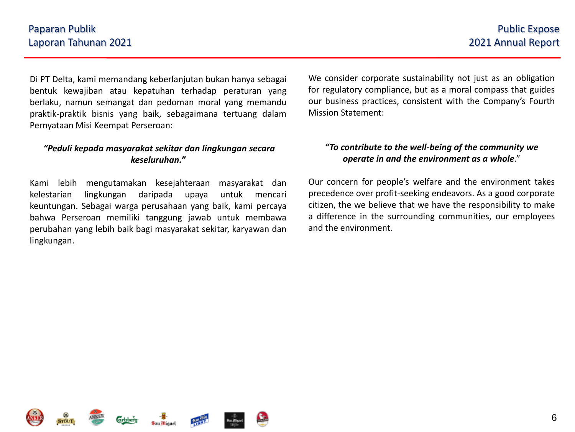Di PT Delta, kami memandang keberlanjutan bukan hanya sebagai bentuk kewajiban atau kepatuhan terhadap peraturan yang berlaku, namun semangat dan pedoman moral yang memandu praktik-praktik bisnis yang baik, sebagaimana tertuang dalam Pernyataan Misi Keempat Perseroan:

#### *"Peduli kepada masyarakat sekitar dan lingkungan secara keseluruhan."*

Kami lebih mengutamakan kesejahteraan masyarakat dan kelestarian lingkungan daripada upaya untuk mencari keuntungan. Sebagai warga perusahaan yang baik, kami percaya bahwa Perseroan memiliki tanggung jawab untuk membawa perubahan yang lebih baik bagi masyarakat sekitar, karyawan dan lingkungan.

We consider corporate sustainability not just as an obligation for regulatory compliance, but as a moral compass that guides our business practices, consistent with the Company's Fourth Mission Statement:

### *"To contribute to the well-being of the community we operate in and the environment as a whole*."

Our concern for people's welfare and the environment takes precedence over profit-seeking endeavors. As a good corporate citizen, the we believe that we have the responsibility to make a difference in the surrounding communities, our employees and the environment.